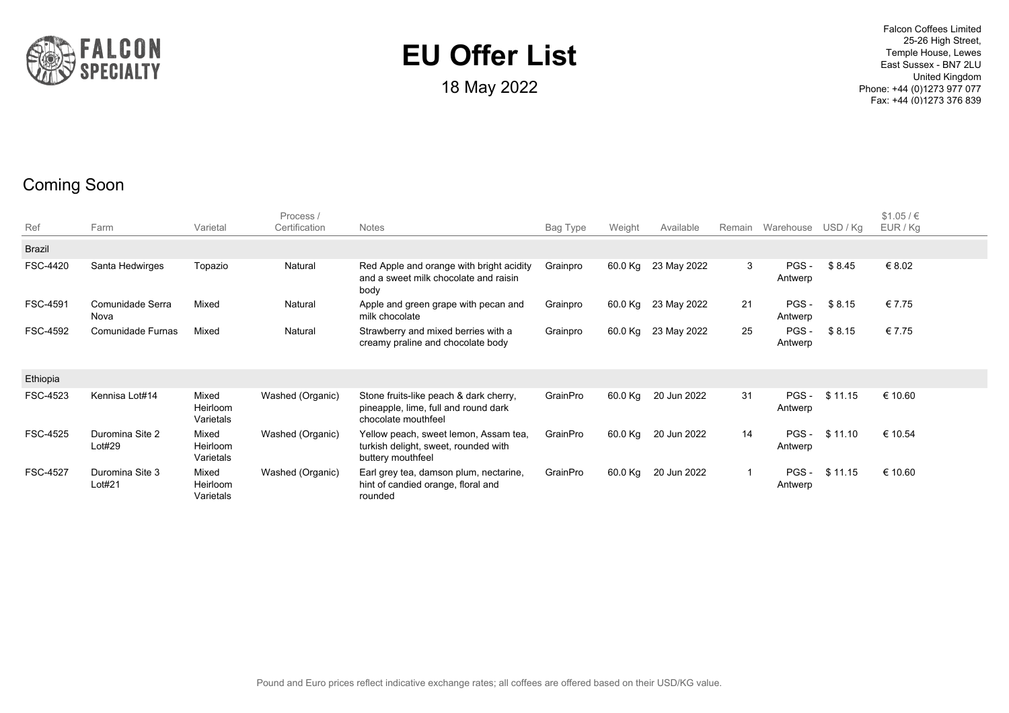

18 May 2022

Falcon Coffees Limited 25-26 High Street, Temple House, Lewes East Sussex - BN7 2LU United Kingdom Phone: +44 (0)1273 977 077 Fax: +44 (0)1273 376 839

#### Coming Soon

| Ref             | Farm                      | Varietal                       | Process /<br>Certification | <b>Notes</b>                                                                                          | Bag Type | Weight  | Available           | Remain       | Warehouse       | USD / Kg | \$1.05 / €<br>EUR / Kg |
|-----------------|---------------------------|--------------------------------|----------------------------|-------------------------------------------------------------------------------------------------------|----------|---------|---------------------|--------------|-----------------|----------|------------------------|
| <b>Brazil</b>   |                           |                                |                            |                                                                                                       |          |         |                     |              |                 |          |                        |
| FSC-4420        | Santa Hedwirges           | Topazio                        | Natural                    | Red Apple and orange with bright acidity<br>and a sweet milk chocolate and raisin<br>body             | Grainpro | 60.0 Kg | 23 May 2022         | 3            | PGS-<br>Antwerp | \$8.45   | € 8.02                 |
| FSC-4591        | Comunidade Serra<br>Nova  | Mixed                          | Natural                    | Apple and green grape with pecan and<br>milk chocolate                                                | Grainpro | 60.0 Kg | 23 May 2022         | 21           | PGS-<br>Antwerp | \$8.15   | €7.75                  |
| FSC-4592        | Comunidade Furnas         | Mixed                          | Natural                    | Strawberry and mixed berries with a<br>creamy praline and chocolate body                              | Grainpro |         | 60.0 Kg 23 May 2022 | 25           | PGS-<br>Antwerp | \$8.15   | €7.75                  |
| Ethiopia        |                           |                                |                            |                                                                                                       |          |         |                     |              |                 |          |                        |
| FSC-4523        | Kennisa Lot#14            | Mixed<br>Heirloom<br>Varietals | Washed (Organic)           | Stone fruits-like peach & dark cherry,<br>pineapple, lime, full and round dark<br>chocolate mouthfeel | GrainPro | 60.0 Kg | 20 Jun 2022         | 31           | PGS-<br>Antwerp | \$11.15  | € 10.60                |
| FSC-4525        | Duromina Site 2<br>Lot#29 | Mixed<br>Heirloom<br>Varietals | Washed (Organic)           | Yellow peach, sweet lemon, Assam tea,<br>turkish delight, sweet, rounded with<br>buttery mouthfeel    | GrainPro | 60.0 Kg | 20 Jun 2022         | 14           | PGS-<br>Antwerp | \$11.10  | € 10.54                |
| <b>FSC-4527</b> | Duromina Site 3<br>Lot#21 | Mixed<br>Heirloom<br>Varietals | Washed (Organic)           | Earl grey tea, damson plum, nectarine,<br>hint of candied orange, floral and<br>rounded               | GrainPro | 60.0 Kg | 20 Jun 2022         | $\mathbf{1}$ | PGS-<br>Antwerp | \$11.15  | € 10.60                |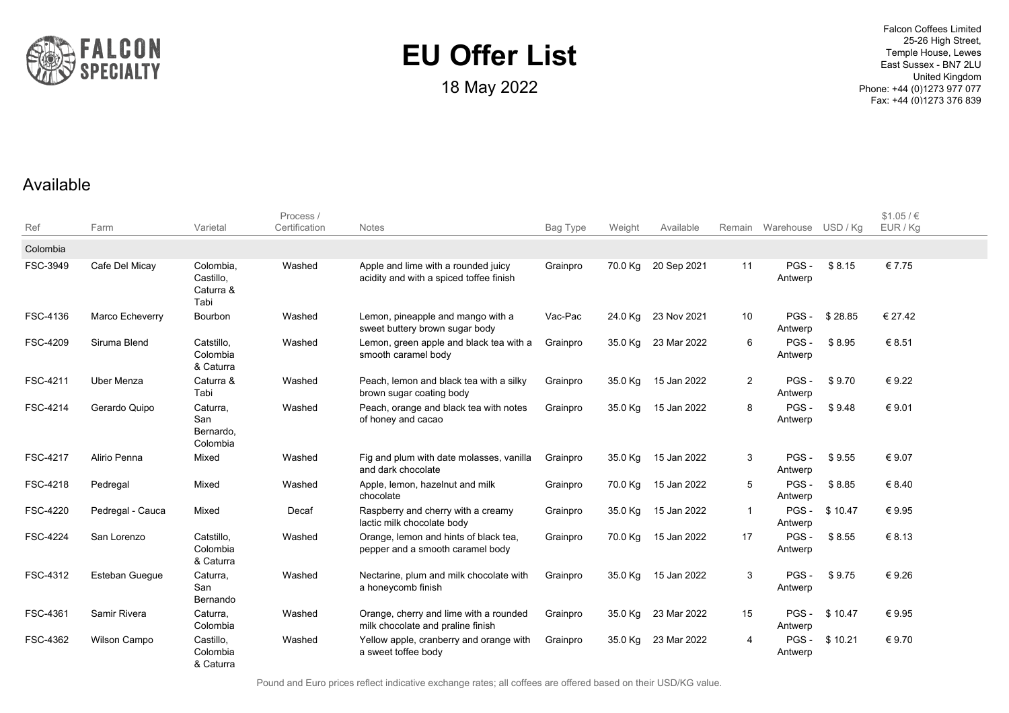

18 May 2022

Falcon Coffees Limited 25-26 High Street, Temple House, Lewes East Sussex - BN7 2LU United Kingdom Phone: +44 (0)1273 977 077 Fax: +44 (0)1273 376 839

#### Available

| Ref             | Farm              | Varietal                                    | Process /<br>Certification | Notes                                                                          | Bag Type | Weight  | Available   |                | Remain Warehouse USD / Kg |         | \$1.05 / €<br>EUR / Kg |
|-----------------|-------------------|---------------------------------------------|----------------------------|--------------------------------------------------------------------------------|----------|---------|-------------|----------------|---------------------------|---------|------------------------|
| Colombia        |                   |                                             |                            |                                                                                |          |         |             |                |                           |         |                        |
| FSC-3949        | Cafe Del Micay    | Colombia,<br>Castillo,<br>Caturra &<br>Tabi | Washed                     | Apple and lime with a rounded juicy<br>acidity and with a spiced toffee finish | Grainpro | 70.0 Kg | 20 Sep 2021 | 11             | PGS-<br>Antwerp           | \$8.15  | € 7.75                 |
| FSC-4136        | Marco Echeverry   | Bourbon                                     | Washed                     | Lemon, pineapple and mango with a<br>sweet buttery brown sugar body            | Vac-Pac  | 24.0 Kg | 23 Nov 2021 | 10             | PGS-<br>Antwerp           | \$28.85 | € 27.42                |
| FSC-4209        | Siruma Blend      | Catstillo,<br>Colombia<br>& Caturra         | Washed                     | Lemon, green apple and black tea with a<br>smooth caramel body                 | Grainpro | 35.0 Kg | 23 Mar 2022 | 6              | PGS-<br>Antwerp           | \$8.95  | € 8.51                 |
| FSC-4211        | <b>Uber Menza</b> | Caturra &<br>Tabi                           | Washed                     | Peach, lemon and black tea with a silky<br>brown sugar coating body            | Grainpro | 35.0 Kg | 15 Jan 2022 | $\overline{2}$ | PGS-<br>Antwerp           | \$9.70  | €9.22                  |
| FSC-4214        | Gerardo Quipo     | Caturra,<br>San<br>Bernardo,<br>Colombia    | Washed                     | Peach, orange and black tea with notes<br>of honey and cacao                   | Grainpro | 35.0 Kg | 15 Jan 2022 | 8              | PGS-<br>Antwerp           | \$9.48  | € 9.01                 |
| FSC-4217        | Alirio Penna      | Mixed                                       | Washed                     | Fig and plum with date molasses, vanilla<br>and dark chocolate                 | Grainpro | 35.0 Kg | 15 Jan 2022 | 3              | PGS-<br>Antwerp           | \$9.55  | € 9.07                 |
| FSC-4218        | Pedregal          | Mixed                                       | Washed                     | Apple, lemon, hazelnut and milk<br>chocolate                                   | Grainpro | 70.0 Kg | 15 Jan 2022 | 5              | PGS-<br>Antwerp           | \$8.85  | € 8.40                 |
| FSC-4220        | Pedregal - Cauca  | Mixed                                       | Decaf                      | Raspberry and cherry with a creamy<br>lactic milk chocolate body               | Grainpro | 35.0 Kg | 15 Jan 2022 | -1             | PGS-<br>Antwerp           | \$10.47 | €9.95                  |
| <b>FSC-4224</b> | San Lorenzo       | Catstillo,<br>Colombia<br>& Caturra         | Washed                     | Orange, lemon and hints of black tea,<br>pepper and a smooth caramel body      | Grainpro | 70.0 Kg | 15 Jan 2022 | 17             | PGS-<br>Antwerp           | \$8.55  | € 8.13                 |
| FSC-4312        | Esteban Gueque    | Caturra,<br>San<br>Bernando                 | Washed                     | Nectarine, plum and milk chocolate with<br>a honeycomb finish                  | Grainpro | 35.0 Kg | 15 Jan 2022 | 3              | PGS-<br>Antwerp           | \$9.75  | €9.26                  |
| FSC-4361        | Samir Rivera      | Caturra,<br>Colombia                        | Washed                     | Orange, cherry and lime with a rounded<br>milk chocolate and praline finish    | Grainpro | 35.0 Kg | 23 Mar 2022 | 15             | PGS-<br>Antwerp           | \$10.47 | €9.95                  |
| FSC-4362        | Wilson Campo      | Castillo,<br>Colombia<br>& Caturra          | Washed                     | Yellow apple, cranberry and orange with<br>a sweet toffee body                 | Grainpro | 35.0 Kg | 23 Mar 2022 | 4              | PGS-<br>Antwerp           | \$10.21 | € 9.70                 |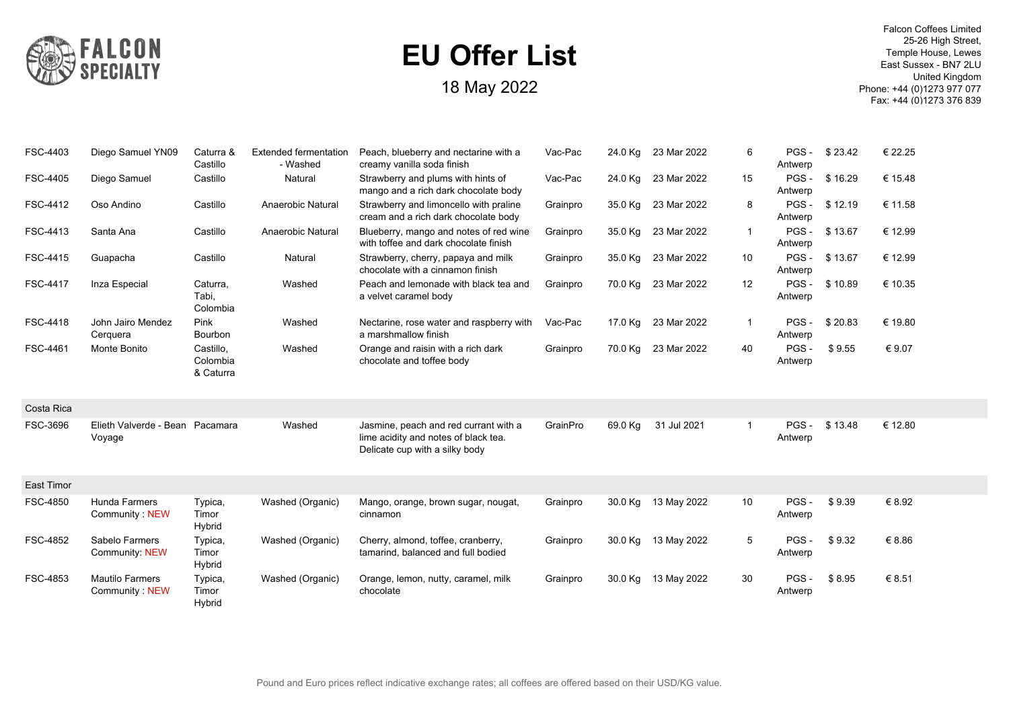

18 May 2022

Falcon Coffees Limited 25-26 High Street, Temple House, Lewes East Sussex - BN7 2LU United Kingdom Phone: +44 (0)1273 977 077 Fax: +44 (0)1273 376 839

| FSC-4403          | Diego Samuel YN09                         | Caturra &<br>Castillo              | <b>Extended fermentation</b><br>- Washed | Peach, blueberry and nectarine with a<br>creamy vanilla soda finish                                             | Vac-Pac  | 24.0 Kg | 23 Mar 2022         | 6              | PGS-<br>Antwerp | \$23.42 | € 22.25 |
|-------------------|-------------------------------------------|------------------------------------|------------------------------------------|-----------------------------------------------------------------------------------------------------------------|----------|---------|---------------------|----------------|-----------------|---------|---------|
| <b>FSC-4405</b>   | Diego Samuel                              | Castillo                           | Natural                                  | Strawberry and plums with hints of<br>mango and a rich dark chocolate body                                      | Vac-Pac  | 24.0 Kg | 23 Mar 2022         | 15             | PGS-<br>Antwerp | \$16.29 | € 15.48 |
| FSC-4412          | Oso Andino                                | Castillo                           | Anaerobic Natural                        | Strawberry and limoncello with praline<br>cream and a rich dark chocolate body                                  | Grainpro | 35.0 Kg | 23 Mar 2022         | 8              | PGS-<br>Antwerp | \$12.19 | € 11.58 |
| FSC-4413          | Santa Ana                                 | Castillo                           | Anaerobic Natural                        | Blueberry, mango and notes of red wine<br>with toffee and dark chocolate finish                                 | Grainpro | 35.0 Kg | 23 Mar 2022         | $\overline{1}$ | PGS-<br>Antwerp | \$13.67 | € 12.99 |
| FSC-4415          | Guapacha                                  | Castillo                           | Natural                                  | Strawberry, cherry, papaya and milk<br>chocolate with a cinnamon finish                                         | Grainpro | 35.0 Kg | 23 Mar 2022         | 10             | PGS-<br>Antwerp | \$13.67 | € 12.99 |
| <b>FSC-4417</b>   | Inza Especial                             | Caturra,<br>Tabi,<br>Colombia      | Washed                                   | Peach and lemonade with black tea and<br>a velvet caramel body                                                  | Grainpro | 70.0 Kg | 23 Mar 2022         | 12             | PGS-<br>Antwerp | \$10.89 | € 10.35 |
| FSC-4418          | John Jairo Mendez<br>Cerquera             | Pink<br>Bourbon                    | Washed                                   | Nectarine, rose water and raspberry with<br>a marshmallow finish                                                | Vac-Pac  | 17.0 Kg | 23 Mar 2022         | $\overline{1}$ | PGS-<br>Antwerp | \$20.83 | € 19.80 |
| FSC-4461          | Monte Bonito                              | Castillo,<br>Colombia<br>& Caturra | Washed                                   | Orange and raisin with a rich dark<br>chocolate and toffee body                                                 | Grainpro | 70.0 Kg | 23 Mar 2022         | 40             | PGS-<br>Antwerp | \$9.55  | €9.07   |
| Costa Rica        |                                           |                                    |                                          |                                                                                                                 |          |         |                     |                |                 |         |         |
| FSC-3696          | Elieth Valverde - Bean Pacamara<br>Voyage |                                    | Washed                                   | Jasmine, peach and red currant with a<br>lime acidity and notes of black tea.<br>Delicate cup with a silky body | GrainPro | 69.0 Kg | 31 Jul 2021         | $\overline{1}$ | PGS-<br>Antwerp | \$13.48 | € 12.80 |
| <b>East Timor</b> |                                           |                                    |                                          |                                                                                                                 |          |         |                     |                |                 |         |         |
| FSC-4850          | Hunda Farmers<br>Community NEW            | Typica,<br>Timor<br>Hybrid         | Washed (Organic)                         | Mango, orange, brown sugar, nougat,<br>cinnamon                                                                 | Grainpro | 30.0 Kg | 13 May 2022         | 10             | PGS-<br>Antwerp | \$9.39  | € 8.92  |
| FSC-4852          | Sabelo Farmers<br>Community: NEW          | Typica,<br>Timor<br>Hybrid         | Washed (Organic)                         | Cherry, almond, toffee, cranberry,<br>tamarind, balanced and full bodied                                        | Grainpro |         | 30.0 Kg 13 May 2022 | 5              | PGS-<br>Antwerp | \$9.32  | € 8.86  |
| FSC-4853          | <b>Mautilo Farmers</b><br>Community NEW   | Typica,<br>Timor<br>Hybrid         | Washed (Organic)                         | Orange, lemon, nutty, caramel, milk<br>chocolate                                                                | Grainpro | 30.0 Kg | 13 May 2022         | 30             | PGS-<br>Antwerp | \$8.95  | € 8.51  |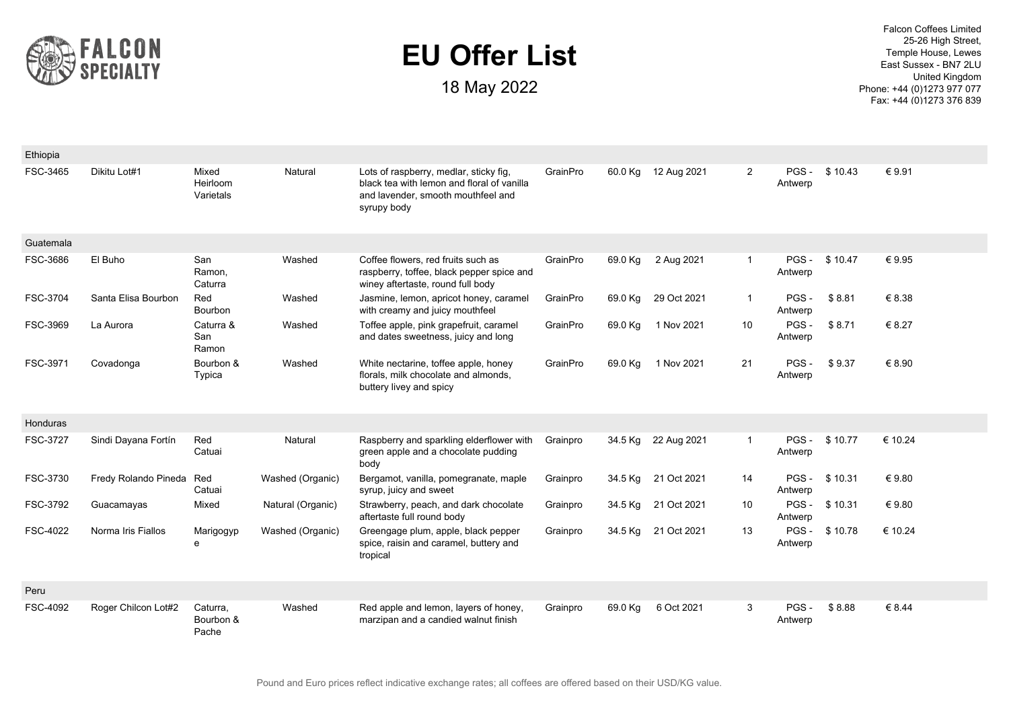

18 May 2022

Falcon Coffees Limited 25-26 High Street, Temple House, Lewes East Sussex - BN7 2LU United Kingdom Phone: +44 (0)1273 977 077 Fax: +44 (0)1273 376 839

| Ethiopia        |                      |                                |                   |                                                                                                                                           |          |         |             |                |                 |         |         |
|-----------------|----------------------|--------------------------------|-------------------|-------------------------------------------------------------------------------------------------------------------------------------------|----------|---------|-------------|----------------|-----------------|---------|---------|
| FSC-3465        | Dikitu Lot#1         | Mixed<br>Heirloom<br>Varietals | Natural           | Lots of raspberry, medlar, sticky fig,<br>black tea with lemon and floral of vanilla<br>and lavender, smooth mouthfeel and<br>syrupy body | GrainPro | 60.0 Kg | 12 Aug 2021 | $\overline{2}$ | PGS-<br>Antwerp | \$10.43 | € 9.91  |
| Guatemala       |                      |                                |                   |                                                                                                                                           |          |         |             |                |                 |         |         |
| FSC-3686        | El Buho              | San<br>Ramon,<br>Caturra       | Washed            | Coffee flowers, red fruits such as<br>raspberry, toffee, black pepper spice and<br>winey aftertaste, round full body                      | GrainPro | 69.0 Kg | 2 Aug 2021  | $\overline{1}$ | PGS-<br>Antwerp | \$10.47 | €9.95   |
| FSC-3704        | Santa Elisa Bourbon  | Red<br>Bourbon                 | Washed            | Jasmine, lemon, apricot honey, caramel<br>with creamy and juicy mouthfeel                                                                 | GrainPro | 69.0 Kg | 29 Oct 2021 | $\overline{1}$ | PGS-<br>Antwerp | \$8.81  | € 8.38  |
| FSC-3969        | La Aurora            | Caturra &<br>San<br>Ramon      | Washed            | Toffee apple, pink grapefruit, caramel<br>and dates sweetness, juicy and long                                                             | GrainPro | 69.0 Kg | 1 Nov 2021  | 10             | PGS-<br>Antwerp | \$8.71  | € 8.27  |
| FSC-3971        | Covadonga            | Bourbon &<br>Typica            | Washed            | White nectarine, toffee apple, honey<br>florals, milk chocolate and almonds,<br>buttery livey and spicy                                   | GrainPro | 69.0 Kg | 1 Nov 2021  | 21             | PGS-<br>Antwerp | \$9.37  | € 8.90  |
| Honduras        |                      |                                |                   |                                                                                                                                           |          |         |             |                |                 |         |         |
| FSC-3727        | Sindi Dayana Fortín  | Red<br>Catuai                  | Natural           | Raspberry and sparkling elderflower with<br>green apple and a chocolate pudding<br>body                                                   | Grainpro | 34.5 Kg | 22 Aug 2021 | $\overline{1}$ | PGS-<br>Antwerp | \$10.77 | € 10.24 |
| FSC-3730        | Fredy Rolando Pineda | Red<br>Catuai                  | Washed (Organic)  | Bergamot, vanilla, pomegranate, maple<br>syrup, juicy and sweet                                                                           | Grainpro | 34.5 Kg | 21 Oct 2021 | 14             | PGS-<br>Antwerp | \$10.31 | € 9.80  |
| FSC-3792        | Guacamayas           | Mixed                          | Natural (Organic) | Strawberry, peach, and dark chocolate<br>aftertaste full round body                                                                       | Grainpro | 34.5 Kg | 21 Oct 2021 | 10             | PGS-<br>Antwerp | \$10.31 | € 9.80  |
| FSC-4022        | Norma Iris Fiallos   | Marigogyp<br>e                 | Washed (Organic)  | Greengage plum, apple, black pepper<br>spice, raisin and caramel, buttery and<br>tropical                                                 | Grainpro | 34.5 Kg | 21 Oct 2021 | 13             | PGS-<br>Antwerp | \$10.78 | € 10.24 |
| Peru            |                      |                                |                   |                                                                                                                                           |          |         |             |                |                 |         |         |
| <b>FSC-4092</b> | Roger Chilcon Lot#2  | Caturra,<br>Bourbon &<br>Pache | Washed            | Red apple and lemon, layers of honey,<br>marzipan and a candied walnut finish                                                             | Grainpro | 69.0 Kg | 6 Oct 2021  | 3              | PGS-<br>Antwerp | \$8.88  | € 8.44  |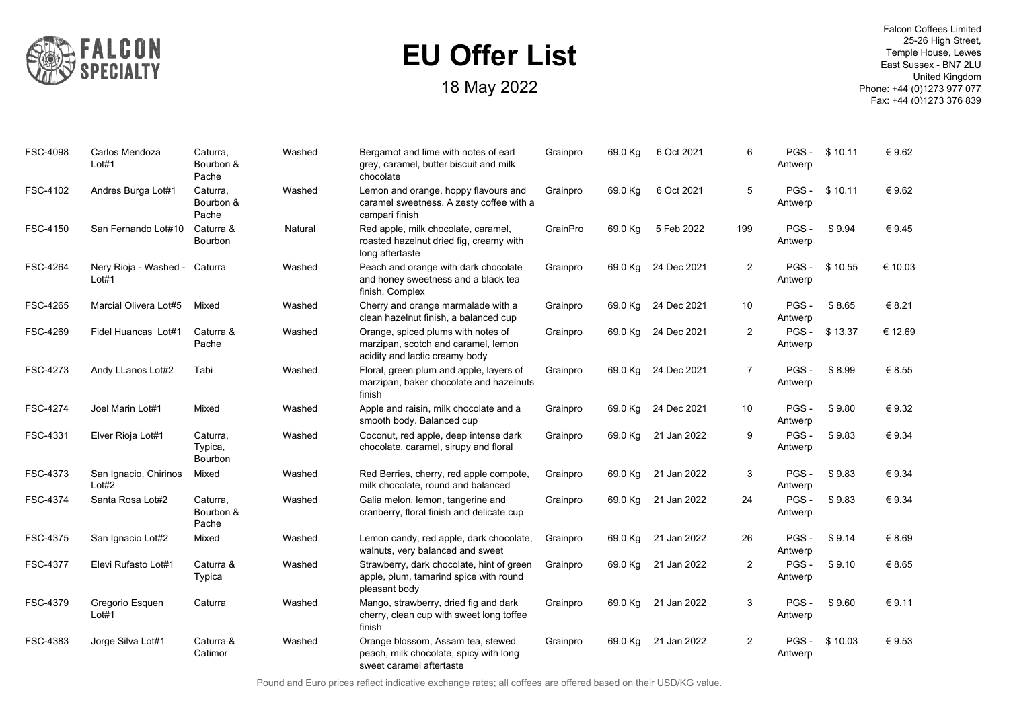

18 May 2022

Falcon Coffees Limited 25-26 High Street, Temple House, Lewes East Sussex - BN7 2LU United Kingdom Phone: +44 (0)1273 977 077 Fax: +44 (0)1273 376 839

| <b>FSC-4098</b> | Carlos Mendoza<br>Lot#1                | Caturra,<br>Bourbon &<br>Pache | Washed  | Bergamot and lime with notes of earl<br>grey, caramel, butter biscuit and milk<br>chocolate                 | Grainpro | 69.0 Kg | 6 Oct 2021  | 6              | PGS-<br>Antwerp | \$10.11 | € 9.62  |
|-----------------|----------------------------------------|--------------------------------|---------|-------------------------------------------------------------------------------------------------------------|----------|---------|-------------|----------------|-----------------|---------|---------|
| FSC-4102        | Andres Burga Lot#1                     | Caturra,<br>Bourbon &<br>Pache | Washed  | Lemon and orange, hoppy flavours and<br>caramel sweetness. A zesty coffee with a<br>campari finish          | Grainpro | 69.0 Kg | 6 Oct 2021  | 5              | PGS-<br>Antwerp | \$10.11 | € 9.62  |
| FSC-4150        | San Fernando Lot#10                    | Caturra &<br>Bourbon           | Natural | Red apple, milk chocolate, caramel,<br>roasted hazelnut dried fig, creamy with<br>long aftertaste           | GrainPro | 69.0 Kg | 5 Feb 2022  | 199            | PGS-<br>Antwerp | \$9.94  | € 9.45  |
| <b>FSC-4264</b> | Nery Rioja - Washed - Caturra<br>Lot#1 |                                | Washed  | Peach and orange with dark chocolate<br>and honey sweetness and a black tea<br>finish. Complex              | Grainpro | 69.0 Kg | 24 Dec 2021 | 2              | PGS-<br>Antwerp | \$10.55 | € 10.03 |
| FSC-4265        | Marcial Olivera Lot#5                  | Mixed                          | Washed  | Cherry and orange marmalade with a<br>clean hazelnut finish, a balanced cup                                 | Grainpro | 69.0 Kg | 24 Dec 2021 | 10             | PGS-<br>Antwerp | \$8.65  | € 8.21  |
| FSC-4269        | Fidel Huancas Lot#1                    | Caturra &<br>Pache             | Washed  | Orange, spiced plums with notes of<br>marzipan, scotch and caramel, lemon<br>acidity and lactic creamy body | Grainpro | 69.0 Kg | 24 Dec 2021 | 2              | PGS-<br>Antwerp | \$13.37 | € 12.69 |
| FSC-4273        | Andy LLanos Lot#2                      | Tabi                           | Washed  | Floral, green plum and apple, layers of<br>marzipan, baker chocolate and hazelnuts<br>finish                | Grainpro | 69.0 Kg | 24 Dec 2021 | $\overline{7}$ | PGS-<br>Antwerp | \$8.99  | € 8.55  |
| <b>FSC-4274</b> | Joel Marin Lot#1                       | Mixed                          | Washed  | Apple and raisin, milk chocolate and a<br>smooth body. Balanced cup                                         | Grainpro | 69.0 Kg | 24 Dec 2021 | 10             | PGS-<br>Antwerp | \$9.80  | € 9.32  |
| FSC-4331        | Elver Rioja Lot#1                      | Caturra,<br>Typica,<br>Bourbon | Washed  | Coconut, red apple, deep intense dark<br>chocolate, caramel, sirupy and floral                              | Grainpro | 69.0 Kg | 21 Jan 2022 | 9              | PGS-<br>Antwerp | \$9.83  | € 9.34  |
| FSC-4373        | San Ignacio, Chirinos<br>Lot#2         | Mixed                          | Washed  | Red Berries, cherry, red apple compote,<br>milk chocolate, round and balanced                               | Grainpro | 69.0 Kg | 21 Jan 2022 | 3              | PGS-<br>Antwerp | \$9.83  | € 9.34  |
| FSC-4374        | Santa Rosa Lot#2                       | Caturra,<br>Bourbon &<br>Pache | Washed  | Galia melon, lemon, tangerine and<br>cranberry, floral finish and delicate cup                              | Grainpro | 69.0 Kg | 21 Jan 2022 | 24             | PGS-<br>Antwerp | \$9.83  | € 9.34  |
| FSC-4375        | San Ignacio Lot#2                      | Mixed                          | Washed  | Lemon candy, red apple, dark chocolate,<br>walnuts, very balanced and sweet                                 | Grainpro | 69.0 Kg | 21 Jan 2022 | 26             | PGS-<br>Antwerp | \$9.14  | € 8.69  |
| <b>FSC-4377</b> | Elevi Rufasto Lot#1                    | Caturra &<br>Typica            | Washed  | Strawberry, dark chocolate, hint of green<br>apple, plum, tamarind spice with round<br>pleasant body        | Grainpro | 69.0 Kg | 21 Jan 2022 | $\overline{2}$ | PGS-<br>Antwerp | \$9.10  | € 8.65  |
| FSC-4379        | Gregorio Esquen<br>Lot#1               | Caturra                        | Washed  | Mango, strawberry, dried fig and dark<br>cherry, clean cup with sweet long toffee<br>finish                 | Grainpro | 69.0 Kg | 21 Jan 2022 | 3              | PGS-<br>Antwerp | \$9.60  | € 9.11  |
| FSC-4383        | Jorge Silva Lot#1                      | Caturra &<br>Catimor           | Washed  | Orange blossom, Assam tea, stewed<br>peach, milk chocolate, spicy with long<br>sweet caramel aftertaste     | Grainpro | 69.0 Kg | 21 Jan 2022 | $\overline{2}$ | PGS-<br>Antwerp | \$10.03 | € 9.53  |

Pound and Euro prices reflect indicative exchange rates; all coffees are offered based on their USD/KG value.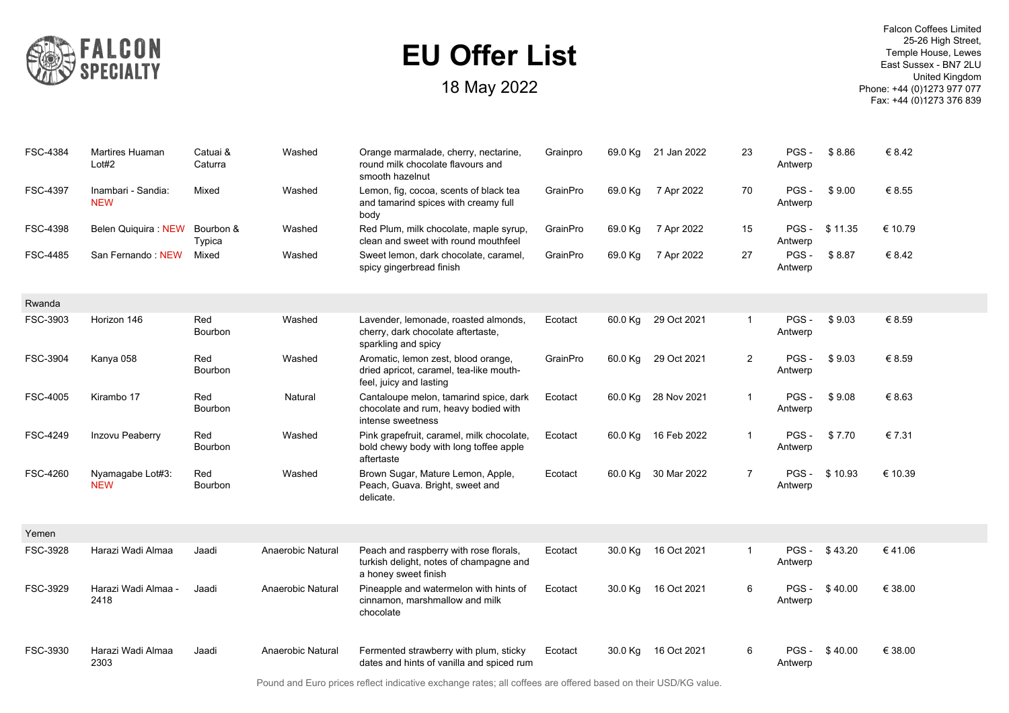

18 May 2022

Falcon Coffees Limited 25-26 High Street, Temple House, Lewes East Sussex - BN7 2LU United Kingdom Phone: +44 (0)1273 977 077 Fax: +44 (0)1273 376 839

| FSC-4384        | Martires Huaman<br>Lot#2         | Catuai &<br>Caturra | Washed            | Orange marmalade, cherry, nectarine,<br>round milk chocolate flavours and<br>smooth hazelnut              | Grainpro | 69.0 Kg | 21 Jan 2022         | 23             | PGS-<br>Antwerp  | \$8.86  | € 8.42  |
|-----------------|----------------------------------|---------------------|-------------------|-----------------------------------------------------------------------------------------------------------|----------|---------|---------------------|----------------|------------------|---------|---------|
| <b>FSC-4397</b> | Inambari - Sandia:<br><b>NEW</b> | Mixed               | Washed            | Lemon, fig, cocoa, scents of black tea<br>and tamarind spices with creamy full<br>body                    | GrainPro | 69.0 Kg | 7 Apr 2022          | 70             | PGS-<br>Antwerp  | \$9.00  | € 8.55  |
| <b>FSC-4398</b> | Belen Quiquira : NEW             | Bourbon &<br>Typica | Washed            | Red Plum, milk chocolate, maple syrup,<br>clean and sweet with round mouthfeel                            | GrainPro | 69.0 Kg | 7 Apr 2022          | 15             | PGS -<br>Antwerp | \$11.35 | € 10.79 |
| <b>FSC-4485</b> | San Fernando: NEW                | Mixed               | Washed            | Sweet lemon, dark chocolate, caramel,<br>spicy gingerbread finish                                         | GrainPro | 69.0 Kg | 7 Apr 2022          | 27             | PGS-<br>Antwerp  | \$8.87  | € 8.42  |
| Rwanda          |                                  |                     |                   |                                                                                                           |          |         |                     |                |                  |         |         |
| FSC-3903        | Horizon 146                      | Red<br>Bourbon      | Washed            | Lavender, lemonade, roasted almonds,<br>cherry, dark chocolate aftertaste,<br>sparkling and spicy         | Ecotact  | 60.0 Kg | 29 Oct 2021         | $\overline{1}$ | PGS-<br>Antwerp  | \$9.03  | € 8.59  |
| FSC-3904        | Kanya 058                        | Red<br>Bourbon      | Washed            | Aromatic, lemon zest, blood orange,<br>dried apricot, caramel, tea-like mouth-<br>feel, juicy and lasting | GrainPro | 60.0 Kg | 29 Oct 2021         | $\overline{2}$ | PGS-<br>Antwerp  | \$9.03  | € 8.59  |
| <b>FSC-4005</b> | Kirambo 17                       | Red<br>Bourbon      | Natural           | Cantaloupe melon, tamarind spice, dark<br>chocolate and rum, heavy bodied with<br>intense sweetness       | Ecotact  | 60.0 Kg | 28 Nov 2021         | $\overline{1}$ | PGS-<br>Antwerp  | \$9.08  | € 8.63  |
| FSC-4249        | Inzovu Peaberry                  | Red<br>Bourbon      | Washed            | Pink grapefruit, caramel, milk chocolate,<br>bold chewy body with long toffee apple<br>aftertaste         | Ecotact  |         | 60.0 Kg 16 Feb 2022 | $\overline{1}$ | PGS-<br>Antwerp  | \$7.70  | € 7.31  |
| <b>FSC-4260</b> | Nyamagabe Lot#3:<br><b>NEW</b>   | Red<br>Bourbon      | Washed            | Brown Sugar, Mature Lemon, Apple,<br>Peach, Guava. Bright, sweet and<br>delicate.                         | Ecotact  |         | 60.0 Kg 30 Mar 2022 | $\overline{7}$ | PGS -<br>Antwerp | \$10.93 | € 10.39 |
| Yemen           |                                  |                     |                   |                                                                                                           |          |         |                     |                |                  |         |         |
| FSC-3928        | Harazi Wadi Almaa                | Jaadi               | Anaerobic Natural | Peach and raspberry with rose florals,<br>turkish delight, notes of champagne and<br>a honey sweet finish | Ecotact  | 30.0 Kg | 16 Oct 2021         | $\overline{1}$ | PGS-<br>Antwerp  | \$43.20 | €41.06  |
| FSC-3929        | Harazi Wadi Almaa -<br>2418      | Jaadi               | Anaerobic Natural | Pineapple and watermelon with hints of<br>cinnamon, marshmallow and milk<br>chocolate                     | Ecotact  | 30.0 Kg | 16 Oct 2021         | 6              | PGS-<br>Antwerp  | \$40.00 | € 38.00 |
| FSC-3930        | Harazi Wadi Almaa<br>2303        | Jaadi               | Anaerobic Natural | Fermented strawberry with plum, sticky<br>dates and hints of vanilla and spiced rum                       | Ecotact  | 30.0 Kg | 16 Oct 2021         | 6              | PGS-<br>Antwerp  | \$40.00 | € 38.00 |

Pound and Euro prices reflect indicative exchange rates; all coffees are offered based on their USD/KG value.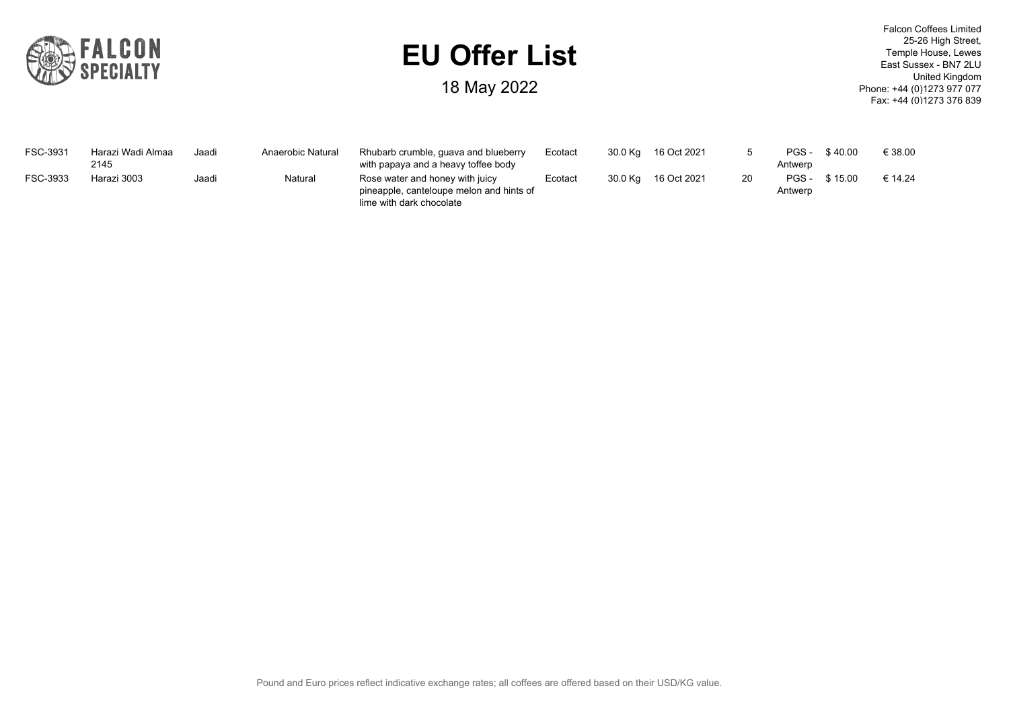

18 May 2022

Falcon Coffees Limited 25-26 High Street, Temple House, Lewes East Sussex - BN7 2LU United Kingdom Phone: +44 (0)1273 977 077 Fax: +44 (0)1273 376 839

| FSC-3931 | Harazi Wadi Almaa<br>2145 | Jaadi | Anaerobic Natural | Rhubarb crumble, guava and blueberry<br>with papaya and a heavy toffee body                             | Ecotact | 30.0 Ka | 16 Oct 2021 |    | PGS-<br>Antwerp  | \$40.00 | € 38.00 |
|----------|---------------------------|-------|-------------------|---------------------------------------------------------------------------------------------------------|---------|---------|-------------|----|------------------|---------|---------|
| FSC-3933 | Harazi 3003               | Jaadi | Natural           | Rose water and honey with juicy<br>pineapple, canteloupe melon and hints of<br>lime with dark chocolate | Ecotact | 30.0 Ka | 16 Oct 2021 | 20 | PGS -<br>Antwerp | \$15.00 | € 14.24 |

Pound and Euro prices reflect indicative exchange rates; all coffees are offered based on their USD/KG value.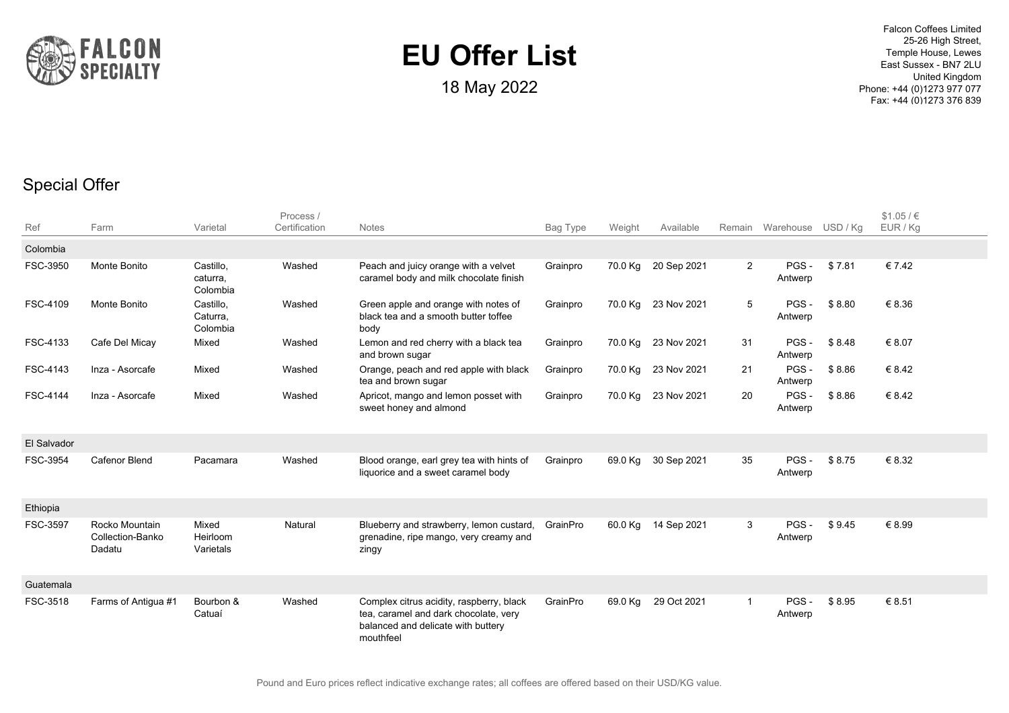

18 May 2022

Falcon Coffees Limited 25-26 High Street, Temple House, Lewes East Sussex - BN7 2LU United Kingdom Phone: +44 (0)1273 977 077 Fax: +44 (0)1273 376 839

#### Special Offer

| Ref             | Farm                                         | Varietal                          | Process /<br>Certification | <b>Notes</b>                                                                                                                         | <b>Bag Type</b> | Weight  | Available   |                | Remain Warehouse USD/Kg |        | \$1.05 / €<br>EUR / Kg |
|-----------------|----------------------------------------------|-----------------------------------|----------------------------|--------------------------------------------------------------------------------------------------------------------------------------|-----------------|---------|-------------|----------------|-------------------------|--------|------------------------|
| Colombia        |                                              |                                   |                            |                                                                                                                                      |                 |         |             |                |                         |        |                        |
| FSC-3950        | Monte Bonito                                 | Castillo,<br>caturra,<br>Colombia | Washed                     | Peach and juicy orange with a velvet<br>caramel body and milk chocolate finish                                                       | Grainpro        | 70.0 Kg | 20 Sep 2021 | $\overline{2}$ | PGS-<br>Antwerp         | \$7.81 | € 7.42                 |
| FSC-4109        | Monte Bonito                                 | Castillo,<br>Caturra,<br>Colombia | Washed                     | Green apple and orange with notes of<br>black tea and a smooth butter toffee<br>body                                                 | Grainpro        | 70.0 Kg | 23 Nov 2021 | 5              | PGS-<br>Antwerp         | \$8.80 | € 8.36                 |
| FSC-4133        | Cafe Del Micay                               | Mixed                             | Washed                     | Lemon and red cherry with a black tea<br>and brown sugar                                                                             | Grainpro        | 70.0 Kg | 23 Nov 2021 | 31             | PGS-<br>Antwerp         | \$8.48 | € 8.07                 |
| FSC-4143        | Inza - Asorcafe                              | Mixed                             | Washed                     | Orange, peach and red apple with black<br>tea and brown sugar                                                                        | Grainpro        | 70.0 Kg | 23 Nov 2021 | 21             | PGS-<br>Antwerp         | \$8.86 | € 8.42                 |
| <b>FSC-4144</b> | Inza - Asorcafe                              | Mixed                             | Washed                     | Apricot, mango and lemon posset with<br>sweet honey and almond                                                                       | Grainpro        | 70.0 Kg | 23 Nov 2021 | 20             | PGS-<br>Antwerp         | \$8.86 | € 8.42                 |
| El Salvador     |                                              |                                   |                            |                                                                                                                                      |                 |         |             |                |                         |        |                        |
| <b>FSC-3954</b> | <b>Cafenor Blend</b>                         | Pacamara                          | Washed                     | Blood orange, earl grey tea with hints of<br>liquorice and a sweet caramel body                                                      | Grainpro        | 69.0 Kg | 30 Sep 2021 | 35             | PGS-<br>Antwerp         | \$8.75 | € 8.32                 |
| Ethiopia        |                                              |                                   |                            |                                                                                                                                      |                 |         |             |                |                         |        |                        |
| <b>FSC-3597</b> | Rocko Mountain<br>Collection-Banko<br>Dadatu | Mixed<br>Heirloom<br>Varietals    | Natural                    | Blueberry and strawberry, lemon custard,<br>grenadine, ripe mango, very creamy and<br>zingy                                          | GrainPro        | 60.0 Kg | 14 Sep 2021 | 3              | PGS-<br>Antwerp         | \$9.45 | € 8.99                 |
| Guatemala       |                                              |                                   |                            |                                                                                                                                      |                 |         |             |                |                         |        |                        |
| FSC-3518        | Farms of Antigua #1                          | Bourbon &<br>Catuaí               | Washed                     | Complex citrus acidity, raspberry, black<br>tea, caramel and dark chocolate, very<br>balanced and delicate with buttery<br>mouthfeel | GrainPro        | 69.0 Kg | 29 Oct 2021 | $\mathbf{1}$   | PGS-<br>Antwerp         | \$8.95 | € 8.51                 |